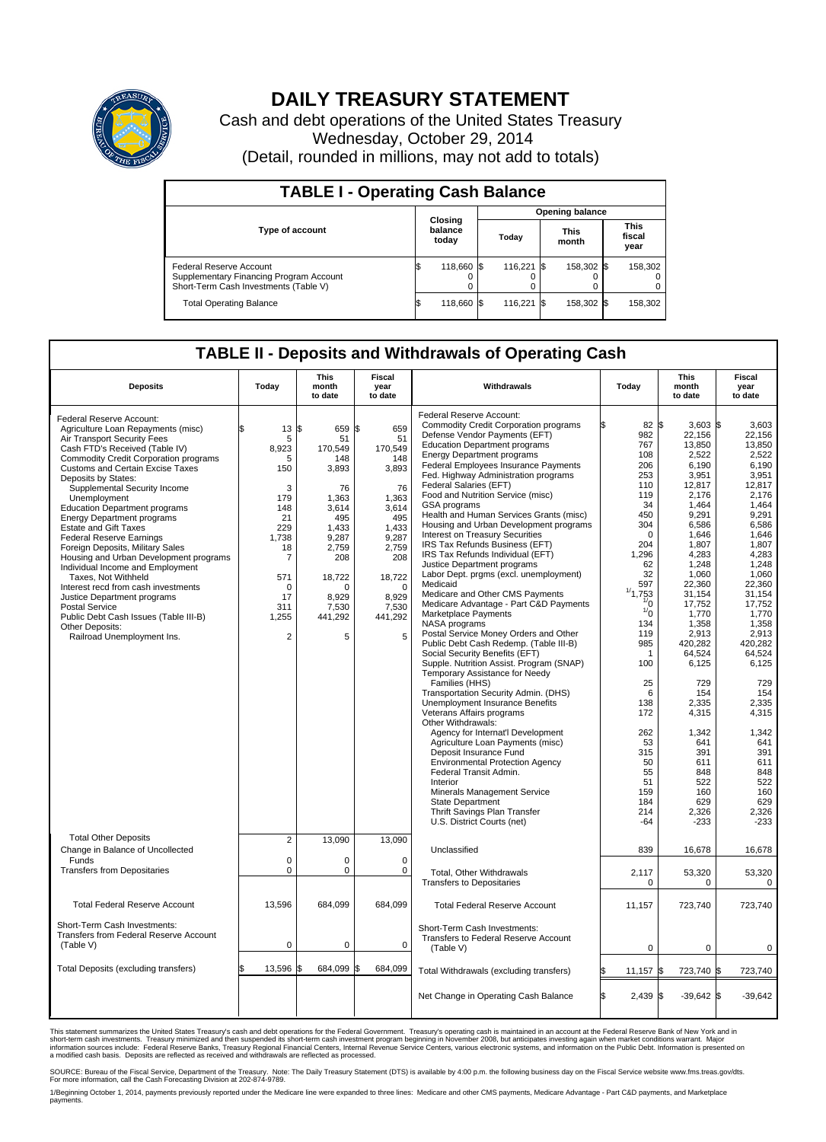

## **DAILY TREASURY STATEMENT**

Cash and debt operations of the United States Treasury Wednesday, October 29, 2014 (Detail, rounded in millions, may not add to totals)

| <b>TABLE I - Operating Cash Balance</b>                                                                     |  |                             |  |               |  |                      |                               |         |  |  |  |
|-------------------------------------------------------------------------------------------------------------|--|-----------------------------|--|---------------|--|----------------------|-------------------------------|---------|--|--|--|
| <b>Opening balance</b>                                                                                      |  |                             |  |               |  |                      |                               |         |  |  |  |
| <b>Type of account</b>                                                                                      |  | Closing<br>balance<br>today |  | Today         |  | <b>This</b><br>month | <b>This</b><br>fiscal<br>year |         |  |  |  |
| Federal Reserve Account<br>Supplementary Financing Program Account<br>Short-Term Cash Investments (Table V) |  | 118,660 \$                  |  | 116,221 \$    |  | 158,302 \$           |                               | 158,302 |  |  |  |
| <b>Total Operating Balance</b>                                                                              |  | 118,660 \$                  |  | $116.221$ \\$ |  | 158,302 \$           |                               | 158,302 |  |  |  |

## **TABLE II - Deposits and Withdrawals of Operating Cash**

| <b>Deposits</b>                                                                                                                                                                                                                                                                                                                                                                                                                                                                                                                                                                                                                                                                                                                                                                     | Today                                                                                                                                          | <b>This</b><br>month<br>to date                                                                                                                                     | <b>Fiscal</b><br>year<br>to date                                                                                                                                    | Withdrawals                                                                                                                                                                                                                                                                                                                                                                                                                                                                                                                                                                                                                                                                                                                                                                                                                                                                                                                                                                                                                                                                                                                                                                                                                                                                                                                         | Today                                                                                                                                                                                                                                                                            | <b>This</b><br>month<br>to date                                                                                                                                                                                                                                                                                                | Fiscal<br>year<br>to date                                                                                                                                                                                                                                                                                                 |
|-------------------------------------------------------------------------------------------------------------------------------------------------------------------------------------------------------------------------------------------------------------------------------------------------------------------------------------------------------------------------------------------------------------------------------------------------------------------------------------------------------------------------------------------------------------------------------------------------------------------------------------------------------------------------------------------------------------------------------------------------------------------------------------|------------------------------------------------------------------------------------------------------------------------------------------------|---------------------------------------------------------------------------------------------------------------------------------------------------------------------|---------------------------------------------------------------------------------------------------------------------------------------------------------------------|-------------------------------------------------------------------------------------------------------------------------------------------------------------------------------------------------------------------------------------------------------------------------------------------------------------------------------------------------------------------------------------------------------------------------------------------------------------------------------------------------------------------------------------------------------------------------------------------------------------------------------------------------------------------------------------------------------------------------------------------------------------------------------------------------------------------------------------------------------------------------------------------------------------------------------------------------------------------------------------------------------------------------------------------------------------------------------------------------------------------------------------------------------------------------------------------------------------------------------------------------------------------------------------------------------------------------------------|----------------------------------------------------------------------------------------------------------------------------------------------------------------------------------------------------------------------------------------------------------------------------------|--------------------------------------------------------------------------------------------------------------------------------------------------------------------------------------------------------------------------------------------------------------------------------------------------------------------------------|---------------------------------------------------------------------------------------------------------------------------------------------------------------------------------------------------------------------------------------------------------------------------------------------------------------------------|
| Federal Reserve Account:<br>Agriculture Loan Repayments (misc)<br>Air Transport Security Fees<br>Cash FTD's Received (Table IV)<br><b>Commodity Credit Corporation programs</b><br><b>Customs and Certain Excise Taxes</b><br>Deposits by States:<br>Supplemental Security Income<br>Unemployment<br><b>Education Department programs</b><br><b>Energy Department programs</b><br><b>Estate and Gift Taxes</b><br><b>Federal Reserve Earnings</b><br>Foreign Deposits, Military Sales<br>Housing and Urban Development programs<br>Individual Income and Employment<br>Taxes, Not Withheld<br>Interest recd from cash investments<br>Justice Department programs<br><b>Postal Service</b><br>Public Debt Cash Issues (Table III-B)<br>Other Deposits:<br>Railroad Unemployment Ins. | 13<br>5<br>8.923<br>5<br>150<br>3<br>179<br>148<br>21<br>229<br>1.738<br>18<br>7<br>571<br>$\mathbf 0$<br>17<br>311<br>1,255<br>$\overline{2}$ | \$<br>659<br>51<br>170.549<br>148<br>3,893<br>76<br>1,363<br>3,614<br>495<br>1,433<br>9,287<br>2,759<br>208<br>18,722<br>$\Omega$<br>8.929<br>7.530<br>441,292<br>5 | \$<br>659<br>51<br>170.549<br>148<br>3,893<br>76<br>1,363<br>3,614<br>495<br>1,433<br>9,287<br>2,759<br>208<br>18,722<br>$\Omega$<br>8.929<br>7,530<br>441,292<br>5 | Federal Reserve Account:<br><b>Commodity Credit Corporation programs</b><br>Defense Vendor Payments (EFT)<br><b>Education Department programs</b><br><b>Energy Department programs</b><br>Federal Employees Insurance Payments<br>Fed. Highway Administration programs<br>Federal Salaries (EFT)<br>Food and Nutrition Service (misc)<br>GSA programs<br>Health and Human Services Grants (misc)<br>Housing and Urban Development programs<br>Interest on Treasury Securities<br>IRS Tax Refunds Business (EFT)<br>IRS Tax Refunds Individual (EFT)<br>Justice Department programs<br>Labor Dept. prgms (excl. unemployment)<br>Medicaid<br>Medicare and Other CMS Payments<br>Medicare Advantage - Part C&D Payments<br>Marketplace Payments<br>NASA programs<br>Postal Service Money Orders and Other<br>Public Debt Cash Redemp. (Table III-B)<br>Social Security Benefits (EFT)<br>Supple. Nutrition Assist. Program (SNAP)<br>Temporary Assistance for Needy<br>Families (HHS)<br>Transportation Security Admin. (DHS)<br>Unemployment Insurance Benefits<br>Veterans Affairs programs<br>Other Withdrawals:<br>Agency for Internat'l Development<br>Agriculture Loan Payments (misc)<br>Deposit Insurance Fund<br><b>Environmental Protection Agency</b><br>Federal Transit Admin.<br>Interior<br>Minerals Management Service | 82 \$<br>982<br>767<br>108<br>206<br>253<br>110<br>119<br>34<br>450<br>304<br>$\mathbf 0$<br>204<br>1.296<br>62<br>32<br>597<br>1/1,753<br>$\frac{1}{0}$<br>$\frac{1}{0}$<br>134<br>119<br>985<br>1<br>100<br>25<br>6<br>138<br>172<br>262<br>53<br>315<br>50<br>55<br>51<br>159 | $3.603$ \$<br>22,156<br>13,850<br>2,522<br>6,190<br>3,951<br>12,817<br>2,176<br>1.464<br>9,291<br>6,586<br>1,646<br>1,807<br>4,283<br>1,248<br>1,060<br>22,360<br>31,154<br>17,752<br>1,770<br>1,358<br>2,913<br>420.282<br>64,524<br>6,125<br>729<br>154<br>2,335<br>4,315<br>1,342<br>641<br>391<br>611<br>848<br>522<br>160 | 3.603<br>22,156<br>13.850<br>2,522<br>6,190<br>3,951<br>12.817<br>2,176<br>1,464<br>9,291<br>6,586<br>1,646<br>1,807<br>4.283<br>1,248<br>1,060<br>22.360<br>31,154<br>17,752<br>1,770<br>1,358<br>2,913<br>420.282<br>64,524<br>6,125<br>729<br>154<br>2,335<br>4,315<br>1,342<br>641<br>391<br>611<br>848<br>522<br>160 |
| <b>Total Other Deposits</b>                                                                                                                                                                                                                                                                                                                                                                                                                                                                                                                                                                                                                                                                                                                                                         | $\overline{\mathbf{c}}$                                                                                                                        | 13,090                                                                                                                                                              | 13,090                                                                                                                                                              | State Department<br>Thrift Savings Plan Transfer<br>U.S. District Courts (net)                                                                                                                                                                                                                                                                                                                                                                                                                                                                                                                                                                                                                                                                                                                                                                                                                                                                                                                                                                                                                                                                                                                                                                                                                                                      | 184<br>214<br>$-64$                                                                                                                                                                                                                                                              | 629<br>2,326<br>$-233$                                                                                                                                                                                                                                                                                                         | 629<br>2,326<br>$-233$                                                                                                                                                                                                                                                                                                    |
| Change in Balance of Uncollected<br>Funds                                                                                                                                                                                                                                                                                                                                                                                                                                                                                                                                                                                                                                                                                                                                           | $\mathbf 0$                                                                                                                                    | $\Omega$                                                                                                                                                            | $\Omega$                                                                                                                                                            | Unclassified                                                                                                                                                                                                                                                                                                                                                                                                                                                                                                                                                                                                                                                                                                                                                                                                                                                                                                                                                                                                                                                                                                                                                                                                                                                                                                                        | 839                                                                                                                                                                                                                                                                              | 16,678                                                                                                                                                                                                                                                                                                                         | 16,678                                                                                                                                                                                                                                                                                                                    |
| <b>Transfers from Depositaries</b>                                                                                                                                                                                                                                                                                                                                                                                                                                                                                                                                                                                                                                                                                                                                                  | $\pmb{0}$                                                                                                                                      | 0                                                                                                                                                                   | $\mathbf 0$                                                                                                                                                         | Total, Other Withdrawals<br><b>Transfers to Depositaries</b>                                                                                                                                                                                                                                                                                                                                                                                                                                                                                                                                                                                                                                                                                                                                                                                                                                                                                                                                                                                                                                                                                                                                                                                                                                                                        | 2,117<br>$\mathbf 0$                                                                                                                                                                                                                                                             | 53,320<br>$\Omega$                                                                                                                                                                                                                                                                                                             | 53,320<br>0                                                                                                                                                                                                                                                                                                               |
| <b>Total Federal Reserve Account</b>                                                                                                                                                                                                                                                                                                                                                                                                                                                                                                                                                                                                                                                                                                                                                | 13,596                                                                                                                                         | 684,099                                                                                                                                                             | 684,099                                                                                                                                                             | <b>Total Federal Reserve Account</b>                                                                                                                                                                                                                                                                                                                                                                                                                                                                                                                                                                                                                                                                                                                                                                                                                                                                                                                                                                                                                                                                                                                                                                                                                                                                                                | 11,157                                                                                                                                                                                                                                                                           | 723,740                                                                                                                                                                                                                                                                                                                        | 723,740                                                                                                                                                                                                                                                                                                                   |
| Short-Term Cash Investments:<br>Transfers from Federal Reserve Account<br>(Table V)                                                                                                                                                                                                                                                                                                                                                                                                                                                                                                                                                                                                                                                                                                 | $\pmb{0}$                                                                                                                                      | 0                                                                                                                                                                   | $\mathbf 0$                                                                                                                                                         | Short-Term Cash Investments:<br>Transfers to Federal Reserve Account<br>(Table V)                                                                                                                                                                                                                                                                                                                                                                                                                                                                                                                                                                                                                                                                                                                                                                                                                                                                                                                                                                                                                                                                                                                                                                                                                                                   | $\mathbf 0$                                                                                                                                                                                                                                                                      | 0                                                                                                                                                                                                                                                                                                                              | 0                                                                                                                                                                                                                                                                                                                         |
| Total Deposits (excluding transfers)                                                                                                                                                                                                                                                                                                                                                                                                                                                                                                                                                                                                                                                                                                                                                | 13,596                                                                                                                                         | 684,099                                                                                                                                                             | 684,099                                                                                                                                                             | Total Withdrawals (excluding transfers)                                                                                                                                                                                                                                                                                                                                                                                                                                                                                                                                                                                                                                                                                                                                                                                                                                                                                                                                                                                                                                                                                                                                                                                                                                                                                             | $11,157$ \$                                                                                                                                                                                                                                                                      | 723,740 \$                                                                                                                                                                                                                                                                                                                     | 723,740                                                                                                                                                                                                                                                                                                                   |
|                                                                                                                                                                                                                                                                                                                                                                                                                                                                                                                                                                                                                                                                                                                                                                                     |                                                                                                                                                |                                                                                                                                                                     |                                                                                                                                                                     | Net Change in Operating Cash Balance                                                                                                                                                                                                                                                                                                                                                                                                                                                                                                                                                                                                                                                                                                                                                                                                                                                                                                                                                                                                                                                                                                                                                                                                                                                                                                | $2,439$ \$<br>l\$                                                                                                                                                                                                                                                                | $-39,642$ \$                                                                                                                                                                                                                                                                                                                   | $-39,642$                                                                                                                                                                                                                                                                                                                 |

This statement summarizes the United States Treasury's cash and debt operations for the Federal Government. Treasury's operating cash is maintained in an account at the Federal Reserve Bank of New York and in<br>short-term ca

SOURCE: Bureau of the Fiscal Service, Department of the Treasury. Note: The Daily Treasury Statement (DTS) is available by 4:00 p.m. the following business day on the Fiscal Service website www.fms.treas.gov/dts.<br>For more

1/Beginning October 1, 2014, payments previously reported under the Medicare line were expanded to three lines: Medicare and other CMS payments, Medicare Advantage - Part C&D payments, and Marketplace payments.